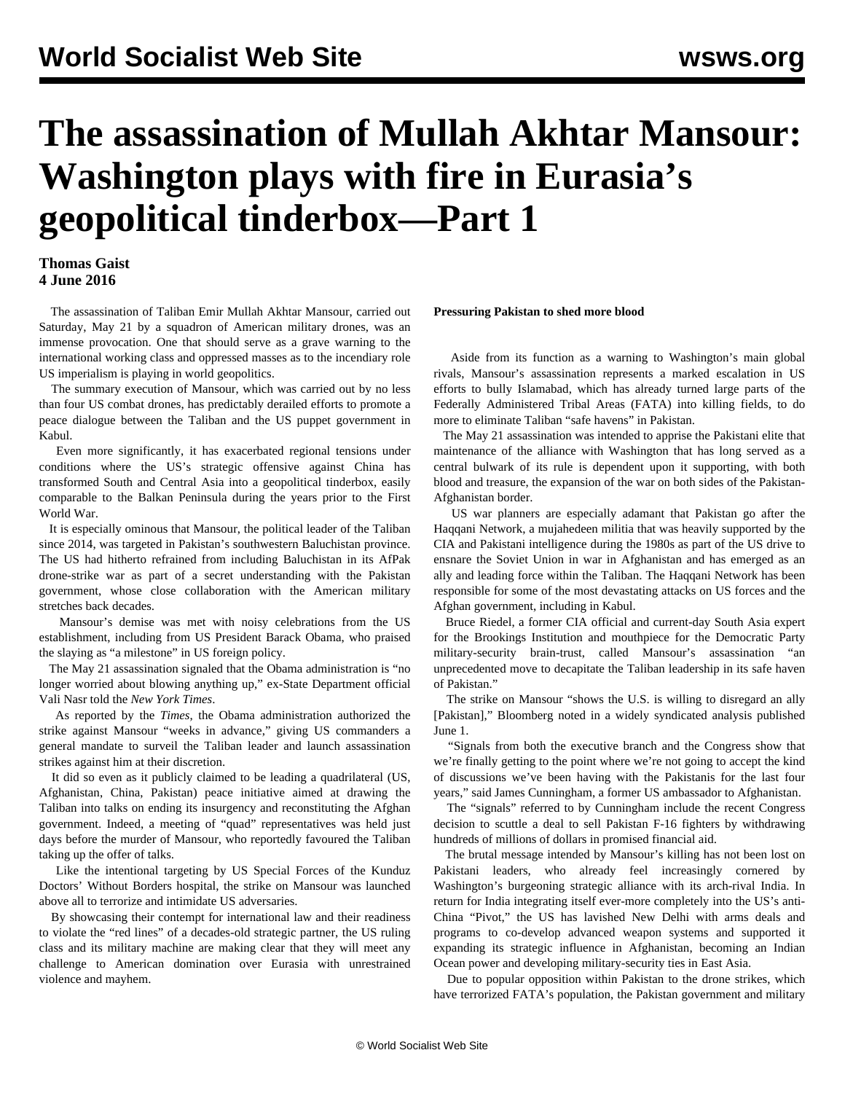# **The assassination of Mullah Akhtar Mansour: Washington plays with fire in Eurasia's geopolitical tinderbox—Part 1**

# **Thomas Gaist 4 June 2016**

 The assassination of Taliban Emir Mullah Akhtar Mansour, carried out Saturday, May 21 by a squadron of American military drones, was an immense provocation. One that should serve as a grave warning to the international working class and oppressed masses as to the incendiary role US imperialism is playing in world geopolitics.

 The summary execution of Mansour, which was carried out by no less than four US combat drones, has predictably derailed efforts to promote a peace dialogue between the Taliban and the US puppet government in Kabul.

 Even more significantly, it has exacerbated regional tensions under conditions where the US's strategic offensive against China has transformed South and Central Asia into a geopolitical tinderbox, easily comparable to the Balkan Peninsula during the years prior to the First World War.

 It is especially ominous that Mansour, the political leader of the Taliban since 2014, was targeted in Pakistan's southwestern Baluchistan province. The US had hitherto refrained from including Baluchistan in its AfPak drone-strike war as part of a secret understanding with the Pakistan government, whose close collaboration with the American military stretches back decades.

 Mansour's demise was met with noisy celebrations from the US establishment, including from US President Barack Obama, who praised the slaying as "a milestone" in US foreign policy.

 The May 21 assassination signaled that the Obama administration is "no longer worried about blowing anything up," ex-State Department official Vali Nasr told the *New York Times*.

 As reported by the *Times*, the Obama administration authorized the strike against Mansour "weeks in advance," giving US commanders a general mandate to surveil the Taliban leader and launch assassination strikes against him at their discretion.

 It did so even as it publicly claimed to be leading a quadrilateral (US, Afghanistan, China, Pakistan) peace initiative aimed at drawing the Taliban into talks on ending its insurgency and reconstituting the Afghan government. Indeed, a meeting of "quad" representatives was held just days before the murder of Mansour, who reportedly favoured the Taliban taking up the offer of talks.

 Like the intentional targeting by US Special Forces of the Kunduz Doctors' Without Borders hospital, the strike on Mansour was launched above all to terrorize and intimidate US adversaries.

 By showcasing their contempt for international law and their readiness to violate the "red lines" of a decades-old strategic partner, the US ruling class and its military machine are making clear that they will meet any challenge to American domination over Eurasia with unrestrained violence and mayhem.

#### **Pressuring Pakistan to shed more blood**

 Aside from its function as a warning to Washington's main global rivals, Mansour's assassination represents a marked escalation in US efforts to bully Islamabad, which has already turned large parts of the Federally Administered Tribal Areas (FATA) into killing fields, to do more to eliminate Taliban "safe havens" in Pakistan.

 The May 21 assassination was intended to apprise the Pakistani elite that maintenance of the alliance with Washington that has long served as a central bulwark of its rule is dependent upon it supporting, with both blood and treasure, the expansion of the war on both sides of the Pakistan-Afghanistan border.

 US war planners are especially adamant that Pakistan go after the Haqqani Network, a mujahedeen militia that was heavily supported by the CIA and Pakistani intelligence during the 1980s as part of the US drive to ensnare the Soviet Union in war in Afghanistan and has emerged as an ally and leading force within the Taliban. The Haqqani Network has been responsible for some of the most devastating attacks on US forces and the Afghan government, including in Kabul.

 Bruce Riedel, a former CIA official and current-day South Asia expert for the Brookings Institution and mouthpiece for the Democratic Party military-security brain-trust, called Mansour's assassination "an unprecedented move to decapitate the Taliban leadership in its safe haven of Pakistan."

 The strike on Mansour "shows the U.S. is willing to disregard an ally [Pakistan]," Bloomberg noted in a widely syndicated analysis published June 1.

 "Signals from both the executive branch and the Congress show that we're finally getting to the point where we're not going to accept the kind of discussions we've been having with the Pakistanis for the last four years," said James Cunningham, a former US ambassador to Afghanistan.

 The "signals" referred to by Cunningham include the recent Congress decision to scuttle a deal to sell Pakistan F-16 fighters by withdrawing hundreds of millions of dollars in promised financial aid.

 The brutal message intended by Mansour's killing has not been lost on Pakistani leaders, who already feel increasingly cornered by Washington's burgeoning strategic alliance with its arch-rival India. In return for India integrating itself ever-more completely into the US's anti-China "Pivot," the US has lavished New Delhi with arms deals and programs to co-develop advanced weapon systems and supported it expanding its strategic influence in Afghanistan, becoming an Indian Ocean power and developing military-security ties in East Asia.

 Due to popular opposition within Pakistan to the drone strikes, which have terrorized FATA's population, the Pakistan government and military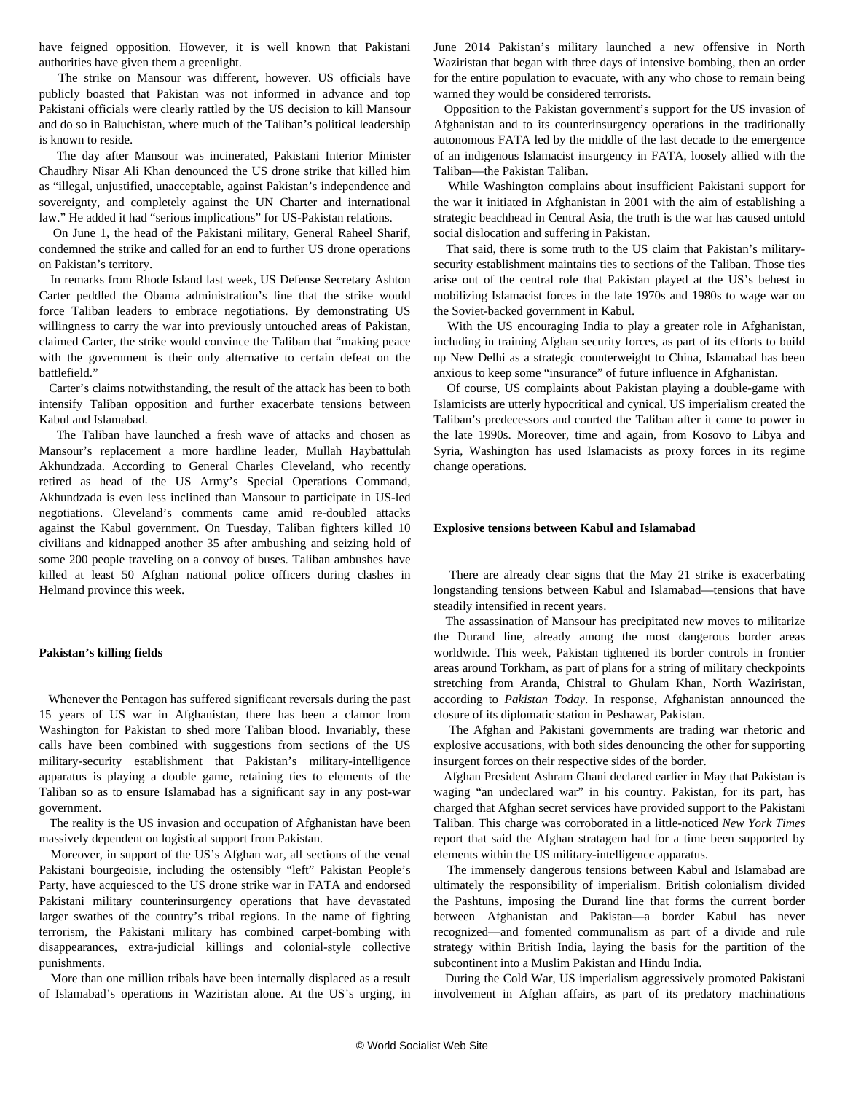have feigned opposition. However, it is well known that Pakistani authorities have given them a greenlight.

 The strike on Mansour was different, however. US officials have publicly boasted that Pakistan was not informed in advance and top Pakistani officials were clearly rattled by the US decision to kill Mansour and do so in Baluchistan, where much of the Taliban's political leadership is known to reside.

 The day after Mansour was incinerated, Pakistani Interior Minister Chaudhry Nisar Ali Khan denounced the US drone strike that killed him as "illegal, unjustified, unacceptable, against Pakistan's independence and sovereignty, and completely against the UN Charter and international law." He added it had "serious implications" for US-Pakistan relations.

 On June 1, the head of the Pakistani military, General Raheel Sharif, condemned the strike and called for an end to further US drone operations on Pakistan's territory.

 In remarks from Rhode Island last week, US Defense Secretary Ashton Carter peddled the Obama administration's line that the strike would force Taliban leaders to embrace negotiations. By demonstrating US willingness to carry the war into previously untouched areas of Pakistan, claimed Carter, the strike would convince the Taliban that "making peace with the government is their only alternative to certain defeat on the battlefield."

 Carter's claims notwithstanding, the result of the attack has been to both intensify Taliban opposition and further exacerbate tensions between Kabul and Islamabad.

 The Taliban have launched a fresh wave of attacks and chosen as Mansour's replacement a more hardline leader, Mullah Haybattulah Akhundzada. According to General Charles Cleveland, who recently retired as head of the US Army's Special Operations Command, Akhundzada is even less inclined than Mansour to participate in US-led negotiations. Cleveland's comments came amid re-doubled attacks against the Kabul government. On Tuesday, Taliban fighters killed 10 civilians and kidnapped another 35 after ambushing and seizing hold of some 200 people traveling on a convoy of buses. Taliban ambushes have killed at least 50 Afghan national police officers during clashes in Helmand province this week.

## **Pakistan's killing fields**

 Whenever the Pentagon has suffered significant reversals during the past 15 years of US war in Afghanistan, there has been a clamor from Washington for Pakistan to shed more Taliban blood. Invariably, these calls have been combined with suggestions from sections of the US military-security establishment that Pakistan's military-intelligence apparatus is playing a double game, retaining ties to elements of the Taliban so as to ensure Islamabad has a significant say in any post-war government.

 The reality is the US invasion and occupation of Afghanistan have been massively dependent on logistical support from Pakistan.

 Moreover, in support of the US's Afghan war, all sections of the venal Pakistani bourgeoisie, including the ostensibly "left" Pakistan People's Party, have acquiesced to the US drone strike war in FATA and endorsed Pakistani military counterinsurgency operations that have devastated larger swathes of the country's tribal regions. In the name of fighting terrorism, the Pakistani military has combined carpet-bombing with disappearances, extra-judicial killings and colonial-style collective punishments.

 More than one million tribals have been internally displaced as a result of Islamabad's operations in Waziristan alone. At the US's urging, in June 2014 Pakistan's military launched a new offensive in North Waziristan that began with three days of intensive bombing, then an order for the entire population to evacuate, with any who chose to remain being warned they would be considered terrorists.

 Opposition to the Pakistan government's support for the US invasion of Afghanistan and to its counterinsurgency operations in the traditionally autonomous FATA led by the middle of the last decade to the emergence of an indigenous Islamacist insurgency in FATA, loosely allied with the Taliban—the Pakistan Taliban.

 While Washington complains about insufficient Pakistani support for the war it initiated in Afghanistan in 2001 with the aim of establishing a strategic beachhead in Central Asia, the truth is the war has caused untold social dislocation and suffering in Pakistan.

 That said, there is some truth to the US claim that Pakistan's militarysecurity establishment maintains ties to sections of the Taliban. Those ties arise out of the central role that Pakistan played at the US's behest in mobilizing Islamacist forces in the late 1970s and 1980s to wage war on the Soviet-backed government in Kabul.

 With the US encouraging India to play a greater role in Afghanistan, including in training Afghan security forces, as part of its efforts to build up New Delhi as a strategic counterweight to China, Islamabad has been anxious to keep some "insurance" of future influence in Afghanistan.

 Of course, US complaints about Pakistan playing a double-game with Islamicists are utterly hypocritical and cynical. US imperialism created the Taliban's predecessors and courted the Taliban after it came to power in the late 1990s. Moreover, time and again, from Kosovo to Libya and Syria, Washington has used Islamacists as proxy forces in its regime change operations.

## **Explosive tensions between Kabul and Islamabad**

 There are already clear signs that the May 21 strike is exacerbating longstanding tensions between Kabul and Islamabad—tensions that have steadily intensified in recent years.

 The assassination of Mansour has precipitated new moves to militarize the Durand line, already among the most dangerous border areas worldwide. This week, Pakistan tightened its border controls in frontier areas around Torkham, as part of plans for a string of military checkpoints stretching from Aranda, Chistral to Ghulam Khan, North Waziristan, according to *Pakistan Today*. In response, Afghanistan announced the closure of its diplomatic station in Peshawar, Pakistan.

 The Afghan and Pakistani governments are trading war rhetoric and explosive accusations, with both sides denouncing the other for supporting insurgent forces on their respective sides of the border.

 Afghan President Ashram Ghani declared earlier in May that Pakistan is waging "an undeclared war" in his country. Pakistan, for its part, has charged that Afghan secret services have provided support to the Pakistani Taliban. This charge was corroborated in a little-noticed *New York Times* report that said the Afghan stratagem had for a time been supported by elements within the US military-intelligence apparatus.

 The immensely dangerous tensions between Kabul and Islamabad are ultimately the responsibility of imperialism. British colonialism divided the Pashtuns, imposing the Durand line that forms the current border between Afghanistan and Pakistan—a border Kabul has never recognized—and fomented communalism as part of a divide and rule strategy within British India, laying the basis for the partition of the subcontinent into a Muslim Pakistan and Hindu India.

 During the Cold War, US imperialism aggressively promoted Pakistani involvement in Afghan affairs, as part of its predatory machinations